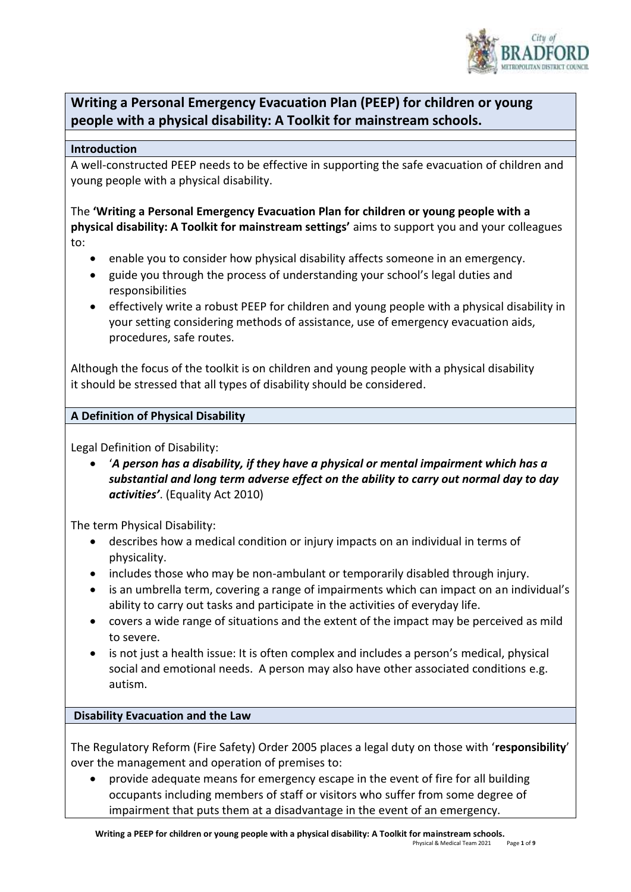

# **Writing a Personal Emergency Evacuation Plan (PEEP) for children or young people with a physical disability: A Toolkit for mainstream schools.**

#### **Introduction**

A well-constructed PEEP needs to be effective in supporting the safe evacuation of children and young people with a physical disability.

The **'Writing a Personal Emergency Evacuation Plan for children or young people with a physical disability: A Toolkit for mainstream settings'** aims to support you and your colleagues to:

- enable you to consider how physical disability affects someone in an emergency.
- guide you through the process of understanding your school's legal duties and responsibilities
- effectively write a robust PEEP for children and young people with a physical disability in your setting considering methods of assistance, use of emergency evacuation aids, procedures, safe routes.

Although the focus of the toolkit is on children and young people with a physical disability it should be stressed that all types of disability should be considered.

#### **A Definition of Physical Disability**

Legal Definition of Disability:

 '*A person has a disability, if they have a physical or mental impairment which has a substantial and long term adverse effect on the ability to carry out normal day to day activities'*. (Equality Act 2010)

The term Physical Disability:

- describes how a medical condition or injury impacts on an individual in terms of physicality.
- includes those who may be non-ambulant or temporarily disabled through injury.
- is an umbrella term, covering a range of impairments which can impact on an individual's ability to carry out tasks and participate in the activities of everyday life.
- covers a wide range of situations and the extent of the impact may be perceived as mild to severe.
- is not just a health issue: It is often complex and includes a person's medical, physical social and emotional needs. A person may also have other associated conditions e.g. autism.

### **Disability Evacuation and the Law**

The Regulatory Reform (Fire Safety) Order 2005 places a legal duty on those with '**responsibility**' over the management and operation of premises to:

 provide adequate means for emergency escape in the event of fire for all building occupants including members of staff or visitors who suffer from some degree of impairment that puts them at a disadvantage in the event of an emergency.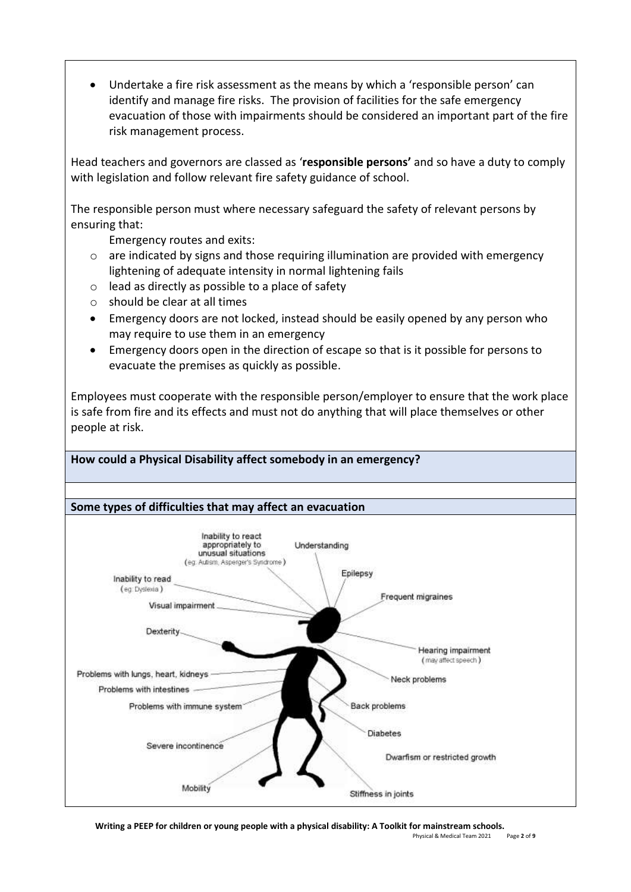Undertake a fire risk assessment as the means by which a 'responsible person' can identify and manage fire risks. The provision of facilities for the safe emergency evacuation of those with impairments should be considered an important part of the fire risk management process.

Head teachers and governors are classed as '**responsible persons'** and so have a duty to comply with legislation and follow relevant fire safety guidance of school.

The responsible person must where necessary safeguard the safety of relevant persons by ensuring that:

Emergency routes and exits:

- $\circ$  are indicated by signs and those requiring illumination are provided with emergency lightening of adequate intensity in normal lightening fails
- o lead as directly as possible to a place of safety
- o should be clear at all times
- Emergency doors are not locked, instead should be easily opened by any person who may require to use them in an emergency
- Emergency doors open in the direction of escape so that is it possible for persons to evacuate the premises as quickly as possible.

Employees must cooperate with the responsible person/employer to ensure that the work place is safe from fire and its effects and must not do anything that will place themselves or other people at risk.

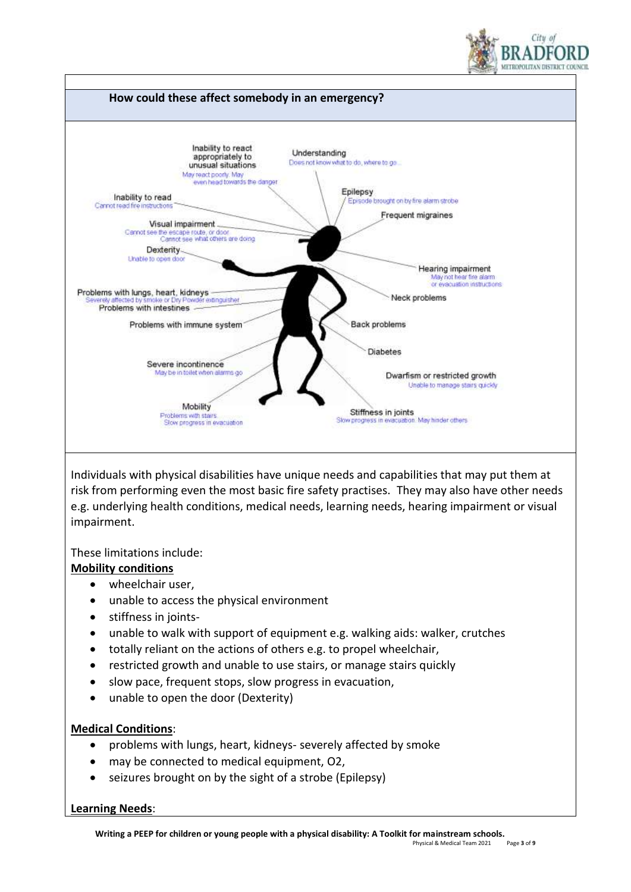



Individuals with physical disabilities have unique needs and capabilities that may put them at risk from performing even the most basic fire safety practises. They may also have other needs e.g. underlying health conditions, medical needs, learning needs, hearing impairment or visual impairment.

These limitations include:

### **Mobility conditions**

- wheelchair user,
- unable to access the physical environment
- stiffness in joints-
- unable to walk with support of equipment e.g. walking aids: walker, crutches
- totally reliant on the actions of others e.g. to propel wheelchair,
- restricted growth and unable to use stairs, or manage stairs quickly
- slow pace, frequent stops, slow progress in evacuation,
- unable to open the door (Dexterity)

### **Medical Conditions**:

- problems with lungs, heart, kidneys- severely affected by smoke
- may be connected to medical equipment, O2,
- seizures brought on by the sight of a strobe (Epilepsy)

### **Learning Needs**: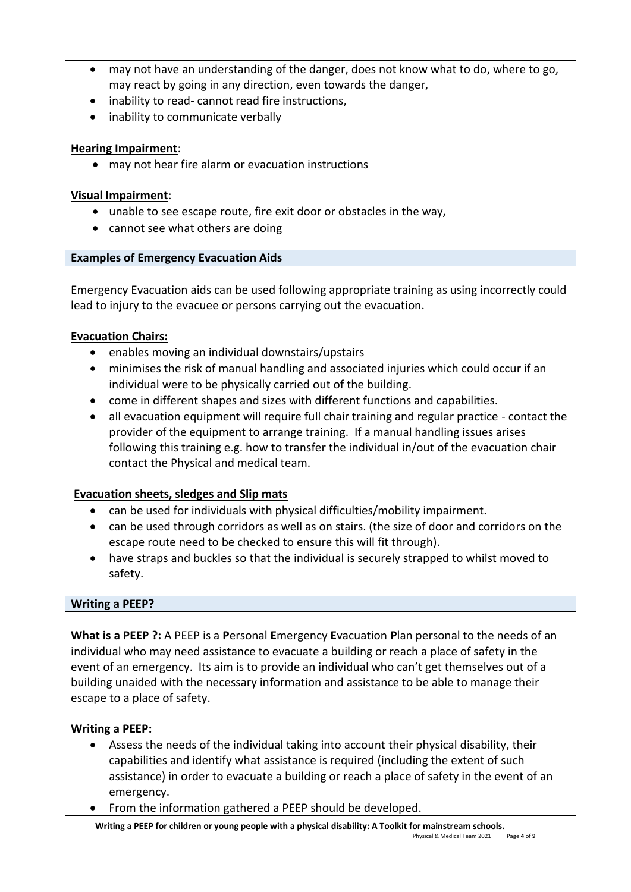- may not have an understanding of the danger, does not know what to do, where to go, may react by going in any direction, even towards the danger,
- inability to read- cannot read fire instructions,
- inability to communicate verbally

### **Hearing Impairment**:

may not hear fire alarm or evacuation instructions

### **Visual Impairment**:

- unable to see escape route, fire exit door or obstacles in the way,
- cannot see what others are doing

### **Examples of Emergency Evacuation Aids**

Emergency Evacuation aids can be used following appropriate training as using incorrectly could lead to injury to the evacuee or persons carrying out the evacuation.

### **Evacuation Chairs:**

- enables moving an individual downstairs/upstairs
- minimises the risk of manual handling and associated injuries which could occur if an individual were to be physically carried out of the building.
- come in different shapes and sizes with different functions and capabilities.
- all evacuation equipment will require full chair training and regular practice contact the provider of the equipment to arrange training. If a manual handling issues arises following this training e.g. how to transfer the individual in/out of the evacuation chair contact the Physical and medical team.

## **Evacuation sheets, sledges and Slip mats**

- can be used for individuals with physical difficulties/mobility impairment.
- can be used through corridors as well as on stairs. (the size of door and corridors on the escape route need to be checked to ensure this will fit through).
- have straps and buckles so that the individual is securely strapped to whilst moved to safety.

### **Writing a PEEP?**

**What is a PEEP ?:** A PEEP is a **P**ersonal **E**mergency **E**vacuation **P**lan personal to the needs of an individual who may need assistance to evacuate a building or reach a place of safety in the event of an emergency. Its aim is to provide an individual who can't get themselves out of a building unaided with the necessary information and assistance to be able to manage their escape to a place of safety.

### **Writing a PEEP:**

- Assess the needs of the individual taking into account their physical disability, their capabilities and identify what assistance is required (including the extent of such assistance) in order to evacuate a building or reach a place of safety in the event of an emergency.
- From the information gathered a PEEP should be developed.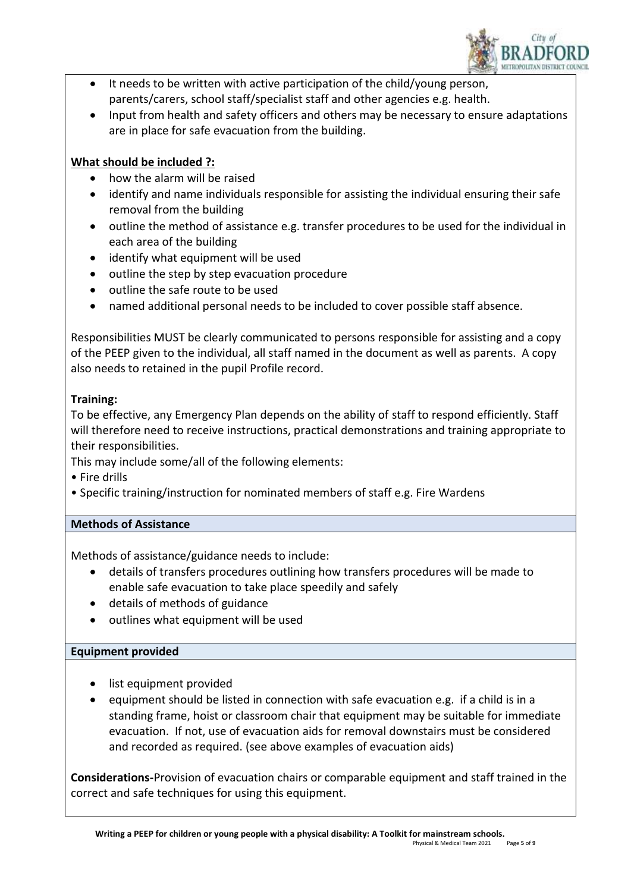

- It needs to be written with active participation of the child/young person, parents/carers, school staff/specialist staff and other agencies e.g. health.
- Input from health and safety officers and others may be necessary to ensure adaptations are in place for safe evacuation from the building.

## **What should be included ?:**

- how the alarm will be raised
- identify and name individuals responsible for assisting the individual ensuring their safe removal from the building
- outline the method of assistance e.g. transfer procedures to be used for the individual in each area of the building
- identify what equipment will be used
- outline the step by step evacuation procedure
- outline the safe route to be used
- named additional personal needs to be included to cover possible staff absence.

Responsibilities MUST be clearly communicated to persons responsible for assisting and a copy of the PEEP given to the individual, all staff named in the document as well as parents. A copy also needs to retained in the pupil Profile record.

## **Training:**

To be effective, any Emergency Plan depends on the ability of staff to respond efficiently. Staff will therefore need to receive instructions, practical demonstrations and training appropriate to their responsibilities.

This may include some/all of the following elements:

- Fire drills
- Specific training/instruction for nominated members of staff e.g. Fire Wardens

## **Methods of Assistance**

Methods of assistance/guidance needs to include:

- details of transfers procedures outlining how transfers procedures will be made to enable safe evacuation to take place speedily and safely
- details of methods of guidance
- outlines what equipment will be used

## **Equipment provided**

- list equipment provided
- equipment should be listed in connection with safe evacuation e.g. if a child is in a standing frame, hoist or classroom chair that equipment may be suitable for immediate evacuation. If not, use of evacuation aids for removal downstairs must be considered and recorded as required. (see above examples of evacuation aids)

**Considerations-**Provision of evacuation chairs or comparable equipment and staff trained in the correct and safe techniques for using this equipment.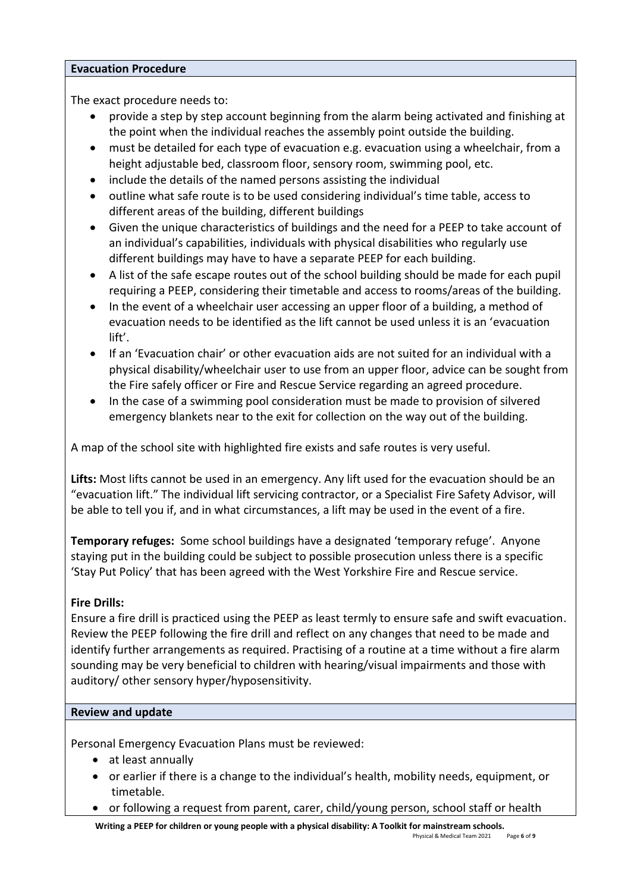#### **Evacuation Procedure**

The exact procedure needs to:

- provide a step by step account beginning from the alarm being activated and finishing at the point when the individual reaches the assembly point outside the building.
- must be detailed for each type of evacuation e.g. evacuation using a wheelchair, from a height adjustable bed, classroom floor, sensory room, swimming pool, etc.
- include the details of the named persons assisting the individual
- outline what safe route is to be used considering individual's time table, access to different areas of the building, different buildings
- Given the unique characteristics of buildings and the need for a PEEP to take account of an individual's capabilities, individuals with physical disabilities who regularly use different buildings may have to have a separate PEEP for each building.
- A list of the safe escape routes out of the school building should be made for each pupil requiring a PEEP, considering their timetable and access to rooms/areas of the building.
- In the event of a wheelchair user accessing an upper floor of a building, a method of evacuation needs to be identified as the lift cannot be used unless it is an 'evacuation lift'.
- If an 'Evacuation chair' or other evacuation aids are not suited for an individual with a physical disability/wheelchair user to use from an upper floor, advice can be sought from the Fire safely officer or Fire and Rescue Service regarding an agreed procedure.
- In the case of a swimming pool consideration must be made to provision of silvered emergency blankets near to the exit for collection on the way out of the building.

A map of the school site with highlighted fire exists and safe routes is very useful.

**Lifts:** Most lifts cannot be used in an emergency. Any lift used for the evacuation should be an "evacuation lift." The individual lift servicing contractor, or a Specialist Fire Safety Advisor, will be able to tell you if, and in what circumstances, a lift may be used in the event of a fire.

**Temporary refuges:** Some school buildings have a designated 'temporary refuge'. Anyone staying put in the building could be subject to possible prosecution unless there is a specific 'Stay Put Policy' that has been agreed with the West Yorkshire Fire and Rescue service.

### **Fire Drills:**

Ensure a fire drill is practiced using the PEEP as least termly to ensure safe and swift evacuation. Review the PEEP following the fire drill and reflect on any changes that need to be made and identify further arrangements as required. Practising of a routine at a time without a fire alarm sounding may be very beneficial to children with hearing/visual impairments and those with auditory/ other sensory hyper/hyposensitivity.

#### **Review and update**

Personal Emergency Evacuation Plans must be reviewed:

- at least annually
- or earlier if there is a change to the individual's health, mobility needs, equipment, or timetable.
- or following a request from parent, carer, child/young person, school staff or health

**Writing a PEEP for children or young people with a physical disability: A Toolkit for mainstream schools.**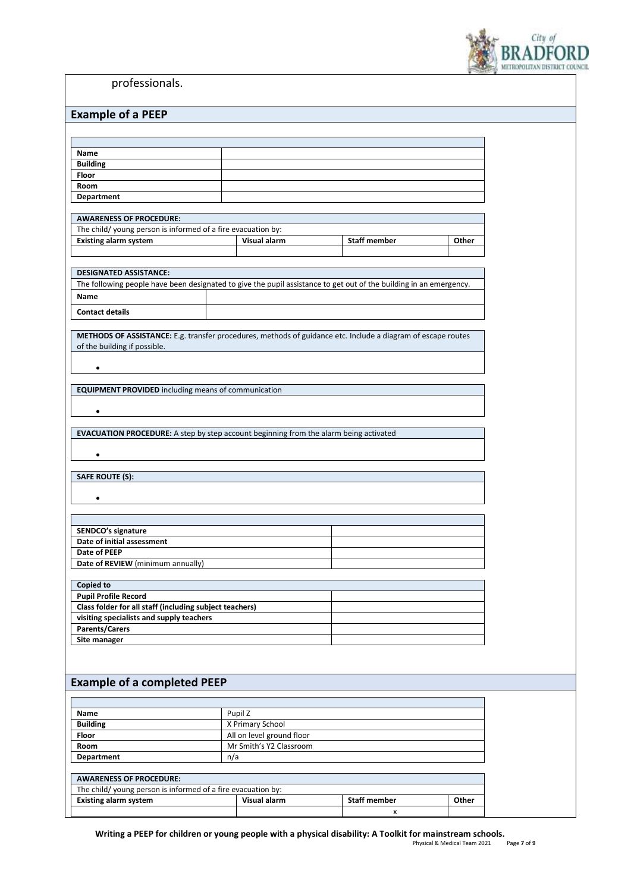

professionals.

| <b>Example of a PEEP</b> |  |  |  |  |  |  |
|--------------------------|--|--|--|--|--|--|
|--------------------------|--|--|--|--|--|--|

| <b>EVAILING ALAI FFI</b>                                                                                           |                           |                     |       |
|--------------------------------------------------------------------------------------------------------------------|---------------------------|---------------------|-------|
|                                                                                                                    |                           |                     |       |
|                                                                                                                    |                           |                     |       |
| Name                                                                                                               |                           |                     |       |
| <b>Building</b>                                                                                                    |                           |                     |       |
| Floor                                                                                                              |                           |                     |       |
| Room                                                                                                               |                           |                     |       |
| <b>Department</b>                                                                                                  |                           |                     |       |
|                                                                                                                    |                           |                     |       |
| <b>AWARENESS OF PROCEDURE:</b>                                                                                     |                           |                     |       |
| The child/young person is informed of a fire evacuation by:                                                        |                           |                     |       |
| <b>Existing alarm system</b>                                                                                       | Visual alarm              | <b>Staff member</b> | Other |
|                                                                                                                    |                           |                     |       |
|                                                                                                                    |                           |                     |       |
| <b>DESIGNATED ASSISTANCE:</b>                                                                                      |                           |                     |       |
| The following people have been designated to give the pupil assistance to get out of the building in an emergency. |                           |                     |       |
| Name                                                                                                               |                           |                     |       |
|                                                                                                                    |                           |                     |       |
| <b>Contact details</b>                                                                                             |                           |                     |       |
|                                                                                                                    |                           |                     |       |
| METHODS OF ASSISTANCE: E.g. transfer procedures, methods of guidance etc. Include a diagram of escape routes       |                           |                     |       |
| of the building if possible.                                                                                       |                           |                     |       |
|                                                                                                                    |                           |                     |       |
| $\bullet$                                                                                                          |                           |                     |       |
|                                                                                                                    |                           |                     |       |
| <b>EQUIPMENT PROVIDED</b> including means of communication                                                         |                           |                     |       |
|                                                                                                                    |                           |                     |       |
| $\bullet$                                                                                                          |                           |                     |       |
|                                                                                                                    |                           |                     |       |
| EVACUATION PROCEDURE: A step by step account beginning from the alarm being activated                              |                           |                     |       |
|                                                                                                                    |                           |                     |       |
| ٠                                                                                                                  |                           |                     |       |
|                                                                                                                    |                           |                     |       |
| <b>SAFE ROUTE (S):</b>                                                                                             |                           |                     |       |
|                                                                                                                    |                           |                     |       |
| $\bullet$                                                                                                          |                           |                     |       |
|                                                                                                                    |                           |                     |       |
|                                                                                                                    |                           |                     |       |
| SENDCO's signature                                                                                                 |                           |                     |       |
| Date of initial assessment                                                                                         |                           |                     |       |
| Date of PEEP                                                                                                       |                           |                     |       |
| Date of REVIEW (minimum annually)                                                                                  |                           |                     |       |
|                                                                                                                    |                           |                     |       |
| Copied to                                                                                                          |                           |                     |       |
| <b>Pupil Profile Record</b>                                                                                        |                           |                     |       |
| Class folder for all staff (including subject teachers)                                                            |                           |                     |       |
| visiting specialists and supply teachers                                                                           |                           |                     |       |
| <b>Parents/Carers</b>                                                                                              |                           |                     |       |
| Site manager                                                                                                       |                           |                     |       |
|                                                                                                                    |                           |                     |       |
|                                                                                                                    |                           |                     |       |
|                                                                                                                    |                           |                     |       |
| <b>Example of a completed PEEP</b>                                                                                 |                           |                     |       |
|                                                                                                                    |                           |                     |       |
|                                                                                                                    |                           |                     |       |
| Name                                                                                                               | Pupil Z                   |                     |       |
| <b>Building</b>                                                                                                    | X Primary School          |                     |       |
| Floor                                                                                                              | All on level ground floor |                     |       |
| Room                                                                                                               | Mr Smith's Y2 Classroom   |                     |       |
| <b>Department</b>                                                                                                  | n/a                       |                     |       |
|                                                                                                                    |                           |                     |       |
| <b>AWARENESS OF PROCEDURE:</b>                                                                                     |                           |                     |       |
| The child/young person is informed of a fire evacuation by:                                                        |                           |                     |       |
| <b>Existing alarm system</b>                                                                                       | Visual alarm              | <b>Staff member</b> | Other |
|                                                                                                                    |                           | X                   |       |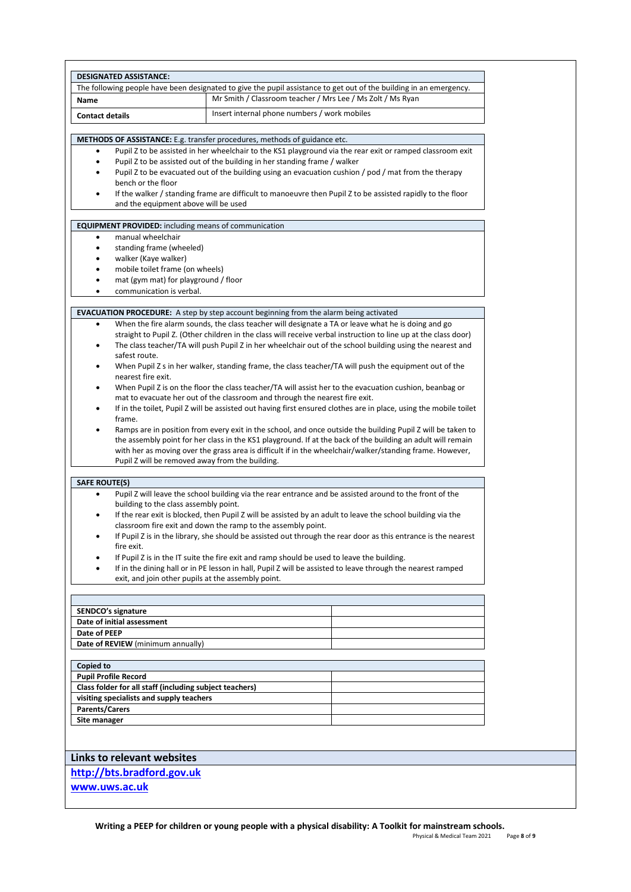| <b>DESIGNATED ASSISTANCE:</b>                                                         |                                                                                                                                                                                                           |  |  |  |
|---------------------------------------------------------------------------------------|-----------------------------------------------------------------------------------------------------------------------------------------------------------------------------------------------------------|--|--|--|
|                                                                                       | The following people have been designated to give the pupil assistance to get out of the building in an emergency.                                                                                        |  |  |  |
| Name                                                                                  | Mr Smith / Classroom teacher / Mrs Lee / Ms Zolt / Ms Ryan                                                                                                                                                |  |  |  |
| <b>Contact details</b>                                                                | Insert internal phone numbers / work mobiles                                                                                                                                                              |  |  |  |
|                                                                                       |                                                                                                                                                                                                           |  |  |  |
| ٠                                                                                     | <b>METHODS OF ASSISTANCE:</b> E.g. transfer procedures, methods of guidance etc.<br>Pupil Z to be assisted in her wheelchair to the KS1 playground via the rear exit or ramped classroom exit             |  |  |  |
| $\bullet$                                                                             | Pupil Z to be assisted out of the building in her standing frame / walker                                                                                                                                 |  |  |  |
| ٠                                                                                     | Pupil Z to be evacuated out of the building using an evacuation cushion / pod / mat from the therapy                                                                                                      |  |  |  |
| bench or the floor                                                                    |                                                                                                                                                                                                           |  |  |  |
| $\bullet$<br>and the equipment above will be used                                     | If the walker / standing frame are difficult to manoeuvre then Pupil Z to be assisted rapidly to the floor                                                                                                |  |  |  |
|                                                                                       |                                                                                                                                                                                                           |  |  |  |
| <b>EQUIPMENT PROVIDED:</b> including means of communication<br>manual wheelchair<br>٠ |                                                                                                                                                                                                           |  |  |  |
| standing frame (wheeled)<br>٠                                                         |                                                                                                                                                                                                           |  |  |  |
| ٠                                                                                     | walker (Kaye walker)                                                                                                                                                                                      |  |  |  |
| ٠                                                                                     | mobile toilet frame (on wheels)                                                                                                                                                                           |  |  |  |
| mat (gym mat) for playground / floor<br>٠                                             |                                                                                                                                                                                                           |  |  |  |
| communication is verbal.<br>٠                                                         |                                                                                                                                                                                                           |  |  |  |
|                                                                                       | <b>EVACUATION PROCEDURE:</b> A step by step account beginning from the alarm being activated                                                                                                              |  |  |  |
| $\bullet$                                                                             | When the fire alarm sounds, the class teacher will designate a TA or leave what he is doing and go                                                                                                        |  |  |  |
|                                                                                       | straight to Pupil Z. (Other children in the class will receive verbal instruction to line up at the class door)                                                                                           |  |  |  |
| ٠                                                                                     | The class teacher/TA will push Pupil Z in her wheelchair out of the school building using the nearest and                                                                                                 |  |  |  |
| safest route.<br>٠                                                                    | When Pupil Z s in her walker, standing frame, the class teacher/TA will push the equipment out of the                                                                                                     |  |  |  |
| nearest fire exit.                                                                    |                                                                                                                                                                                                           |  |  |  |
| $\bullet$                                                                             | When Pupil Z is on the floor the class teacher/TA will assist her to the evacuation cushion, beanbag or                                                                                                   |  |  |  |
|                                                                                       | mat to evacuate her out of the classroom and through the nearest fire exit.                                                                                                                               |  |  |  |
| ٠                                                                                     | If in the toilet, Pupil Z will be assisted out having first ensured clothes are in place, using the mobile toilet                                                                                         |  |  |  |
| frame.                                                                                |                                                                                                                                                                                                           |  |  |  |
|                                                                                       | Ramps are in position from every exit in the school, and once outside the building Pupil Z will be taken to                                                                                               |  |  |  |
|                                                                                       | the assembly point for her class in the KS1 playground. If at the back of the building an adult will remain                                                                                               |  |  |  |
| Pupil Z will be removed away from the building.                                       | with her as moving over the grass area is difficult if in the wheelchair/walker/standing frame. However,                                                                                                  |  |  |  |
| <b>SAFE ROUTE(S)</b>                                                                  |                                                                                                                                                                                                           |  |  |  |
| ٠                                                                                     | Pupil Z will leave the school building via the rear entrance and be assisted around to the front of the                                                                                                   |  |  |  |
|                                                                                       | building to the class assembly point.                                                                                                                                                                     |  |  |  |
|                                                                                       | If the rear exit is blocked, then Pupil Z will be assisted by an adult to leave the school building via the                                                                                               |  |  |  |
|                                                                                       | classroom fire exit and down the ramp to the assembly point.                                                                                                                                              |  |  |  |
|                                                                                       | If Pupil Z is in the library, she should be assisted out through the rear door as this entrance is the nearest                                                                                            |  |  |  |
| fire exit.                                                                            |                                                                                                                                                                                                           |  |  |  |
| $\bullet$                                                                             | If Pupil Z is in the IT suite the fire exit and ramp should be used to leave the building.<br>If in the dining hall or in PE lesson in hall, Pupil Z will be assisted to leave through the nearest ramped |  |  |  |
| exit, and join other pupils at the assembly point.                                    |                                                                                                                                                                                                           |  |  |  |
|                                                                                       |                                                                                                                                                                                                           |  |  |  |
| <b>SENDCO's signature</b>                                                             |                                                                                                                                                                                                           |  |  |  |
| Date of initial assessment                                                            |                                                                                                                                                                                                           |  |  |  |
| <b>Date of PEEP</b>                                                                   |                                                                                                                                                                                                           |  |  |  |
| Date of REVIEW (minimum annually)                                                     |                                                                                                                                                                                                           |  |  |  |
| Copied to                                                                             |                                                                                                                                                                                                           |  |  |  |
| <b>Pupil Profile Record</b>                                                           |                                                                                                                                                                                                           |  |  |  |
| Class folder for all staff (including subject teachers)                               |                                                                                                                                                                                                           |  |  |  |
| visiting specialists and supply teachers                                              |                                                                                                                                                                                                           |  |  |  |
| <b>Parents/Carers</b>                                                                 |                                                                                                                                                                                                           |  |  |  |
| Site manager                                                                          |                                                                                                                                                                                                           |  |  |  |
|                                                                                       |                                                                                                                                                                                                           |  |  |  |
| <b>Links to relevant websites</b>                                                     |                                                                                                                                                                                                           |  |  |  |
| http://bts.bradford.gov.uk                                                            |                                                                                                                                                                                                           |  |  |  |
| www.uws.ac.uk                                                                         |                                                                                                                                                                                                           |  |  |  |
|                                                                                       |                                                                                                                                                                                                           |  |  |  |